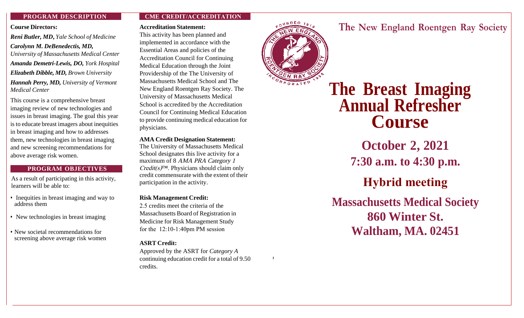#### **PROGRAM DESCRIPTION**

#### **Course Directors:**

*Reni Butler, MD***,** *Yale School of Medicine Carolynn M. DeBenedectis, MD, University of Massachusetts Medical Center Amanda Demetri-Lewis, DO, York Hospital Elizabeth Dibble, MD, Brown University Hannah Perry, MD, University of Vermont Medical Center* 

This course is a comprehensive breast imaging review of new technologies and issues in breast imaging. The goal this year isto educate breast imagers about inequities in breast imaging and how to addresses them, new technologies in breast imaging and new screening recommendations for above average risk women.

## **PROGRAM OBJECTIVES**

As a result of participating in this activity, learners will be able to:

- Inequities in breast imaging and way to address them
- New technologies in breast imaging
- New societal recommendations for •screening above average risk women

## **CME CREDIT/ACCREDITATION**

#### **Accreditation Statement:**

This activity has been planned and implemented in accordance with the Essential Areas and policies of the Accreditation Council for Continuing Medical Education through the Joint Providership of the The University of Massachusetts Medical School and The New England Roentgen Ray Society. The University of Massachusetts Medical School is accredited by the Accreditation Council for Continuing Medical Education to provide continuing medical education for physicians.

**AMA Credit Designation Statement:**  The University of Massachusetts Medical School designates this live activity for a maximum of 8 AMA PRA Category 1  $Credit(s)<sup>TM</sup>$ . Physicians should claim only credit commensurate with the extent of their participation in the activity.

## **Risk Management Credit:**

2.5 credits meet the criteria of the Massachusetts Board of Registration in Medicine for Risk Management Study for the 12:10-1:40pm PM session

## **ASRT Credit:**

Approved by the ASRT for *Category A*  continuing education credit for a total of 9.50 credits.



*~*

# **The New England Roentgen Ray Society**

**The Breast Imaging Annual Refresher Course** 

**October 2, 2021 7:30 a.m. to 4:30 p.m.**

**Hybrid meeting**

**Massachusetts Medical Society 860 Winter St. Waltham, MA. 02451**